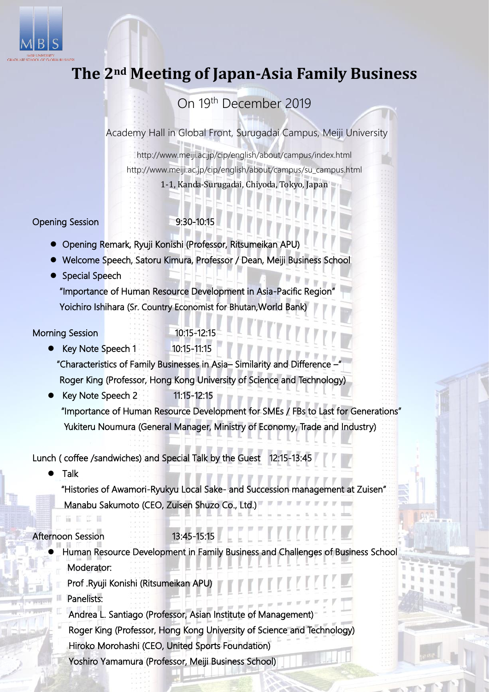

# **The 2nd Meeting of Japan-Asia Family Business**

# On 19th December 2019

Academy Hall in Global Front, Surugadai Campus, Meiji University

http://www.meiji.ac.jp/cip/english/about/campus/index.html http://www.meiji.ac.jp/cip/english/about/campus/su\_campus.html 1-1, Kanda-Surugadai, Chiyoda, Tokyo, Japan

### Opening Session 9:30-10:15

- Opening Remark, Ryuji Konishi (Professor, Ritsumeikan APU)
- Welcome Speech, Satoru Kimura, Professor / Dean, Meiji Business School
- Special Speech

"Importance of Human Resource Development in Asia-Pacific Region" Yoichiro Ishihara (Sr. Country Economist for Bhutan,World Bank)

## Morning Session 10:15-12:15

Key Note Speech 1 10:15-11:15

"Characteristics of Family Businesses in Asia– Similarity and Difference –" Roger King (Professor, Hong Kong University of Science and Technology)

Key Note Speech 2 11:15-12:15 "Importance of Human Resource Development for SMEs / FBs to Last for Generations" Yukiteru Noumura (General Manager, Ministry of Economy, Trade and Industry)

Lunch ( coffee /sandwiches) and Special Talk by the Guest 12:15-13:45

Talk

"Histories of Awamori-Ryukyu Local Sake- and Succession management at Zuisen" Manabu Sakumoto (CEO, Zuisen Shuzo Co., Ltd.)

### Afternoon Session 13:45-15:15

- Human Resource Development in Family Business and Challenges of Business School Moderator:
	- Prof .Ryuji Konishi (Ritsumeikan APU)
	- Panelists:
	- Andrea L. Santiago (Professor, Asian Institute of Management)
	- Roger King (Professor, Hong Kong University of Science and Technology) Hiroko Morohashi (CEO, United Sports Foundation)
	- Yoshiro Yamamura (Professor, Meiji Business School)